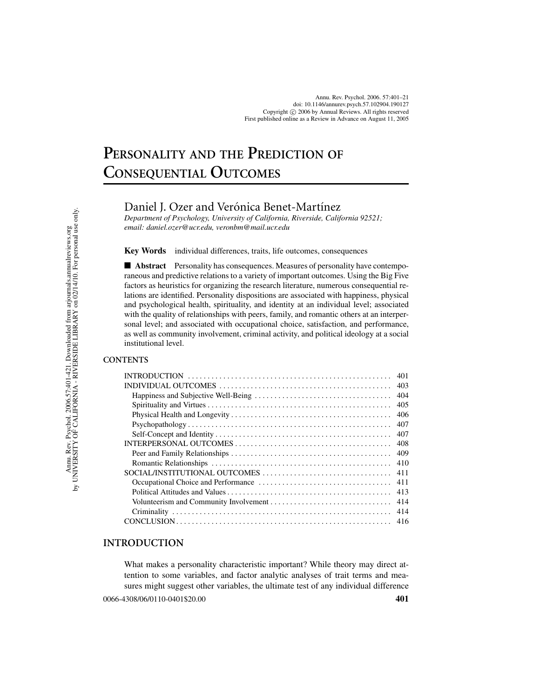# **PERSONALITY AND THE PREDICTION OF CONSEQUENTIAL OUTCOMES**

# Daniel J. Ozer and Verónica Benet-Martínez

*Department of Psychology, University of California, Riverside, California 92521; email: daniel.ozer@ucr.edu, veronbm@mail.ucr.edu*

**Key Words** individual differences, traits, life outcomes, consequences

■ **Abstract** Personality has consequences. Measures of personality have contemporaneous and predictive relations to a variety of important outcomes. Using the Big Five factors as heuristics for organizing the research literature, numerous consequential relations are identified. Personality dispositions are associated with happiness, physical and psychological health, spirituality, and identity at an individual level; associated with the quality of relationships with peers, family, and romantic others at an interpersonal level; and associated with occupational choice, satisfaction, and performance, as well as community involvement, criminal activity, and political ideology at a social institutional level.

## **CONTENTS**

| 401 |
|-----|
| 403 |
| 404 |
| 405 |
| 406 |
| 407 |
| 407 |
| 408 |
| 409 |
| 410 |
| 411 |
| 411 |
| 413 |
| 414 |
| 414 |
| 416 |
|     |

## **INTRODUCTION**

What makes a personality characteristic important? While theory may direct attention to some variables, and factor analytic analyses of trait terms and measures might suggest other variables, the ultimate test of any individual difference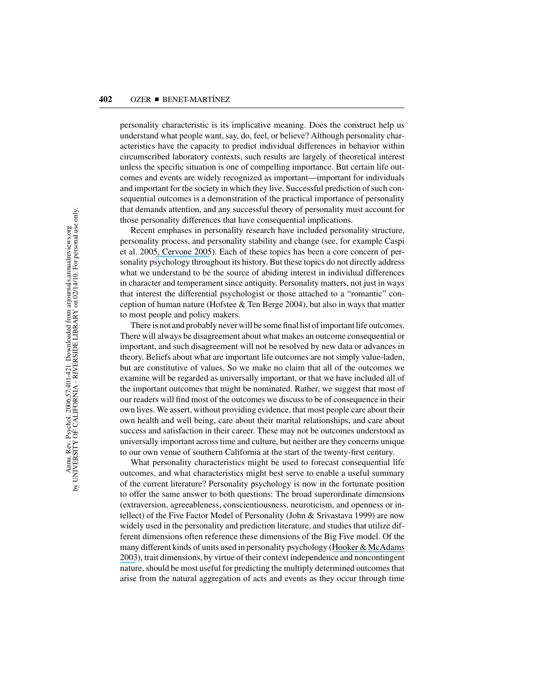personality characteristic is its implicative meaning. Does the construct help us understand what people want, say, do, feel, or believe? Although personality characteristics have the capacity to predict individual differences in behavior within circumscribed laboratory contexts, such results are largely of theoretical interest unless the specific situation is one of compelling importance. But certain life outcomes and events are widely recognized as important—important for individuals and important for the society in which they live. Successful prediction of such consequential outcomes is a demonstration of the practical importance of personality that demands attention, and any successful theory of personality must account for those personality differences that have consequential implications.

Recent emphases in personality research have included personality structure, personality process, and personality stability and change (see, for example Caspi et al. 2005, Cervone 2005). Each of these topics has been a core concern of personality psychology throughout its history. But these topics do not directly address what we understand to be the source of abiding interest in individual differences in character and temperament since antiquity. Personality matters, not just in ways that interest the differential psychologist or those attached to a "romantic" conception of human nature (Hofstee & Ten Berge 2004), but also in ways that matter to most people and policy makers.

There is not and probably never will be some final list of important life outcomes. There will always be disagreement about what makes an outcome consequential or important, and such disagreement will not be resolved by new data or advances in theory. Beliefs about what are important life outcomes are not simply value-laden, but are constitutive of values. So we make no claim that all of the outcomes we examine will be regarded as universally important, or that we have included all of the important outcomes that might be nominated. Rather, we suggest that most of our readers will find most of the outcomes we discuss to be of consequence in their own lives. We assert, without providing evidence, that most people care about their own health and well being, care about their marital relationships, and care about success and satisfaction in their career. These may not be outcomes understood as universally important across time and culture, but neither are they concerns unique to our own venue of southern California at the start of the twenty-first century.

What personality characteristics might be used to forecast consequential life outcomes, and what characteristics might best serve to enable a useful summary of the current literature? Personality psychology is now in the fortunate position to offer the same answer to both questions: The broad superordinate dimensions (extraversion, agreeableness, conscientiousness, neuroticism, and openness or intellect) of the Five Factor Model of Personality (John & Srivastava 1999) are now widely used in the personality and prediction literature, and studies that utilize different dimensions often reference these dimensions of the Big Five model. Of the many different kinds of units used in personality psychology (Hooker & McAdams 2003), trait dimensions, by virtue of their context independence and noncontingent nature, should be most useful for predicting the multiply determined outcomes that arise from the natural aggregation of acts and events as they occur through time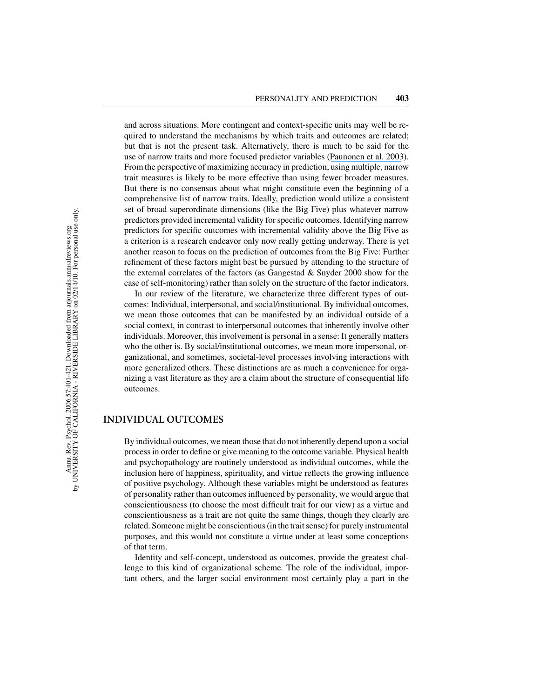and across situations. More contingent and context-specific units may well be required to understand the mechanisms by which traits and outcomes are related; but that is not the present task. Alternatively, there is much to be said for the use of narrow traits and more focused predictor variables (Paunonen et al. 2003). From the perspective of maximizing accuracy in prediction, using multiple, narrow trait measures is likely to be more effective than using fewer broader measures. But there is no consensus about what might constitute even the beginning of a comprehensive list of narrow traits. Ideally, prediction would utilize a consistent set of broad superordinate dimensions (like the Big Five) plus whatever narrow predictors provided incremental validity for specific outcomes. Identifying narrow predictors for specific outcomes with incremental validity above the Big Five as a criterion is a research endeavor only now really getting underway. There is yet another reason to focus on the prediction of outcomes from the Big Five: Further refinement of these factors might best be pursued by attending to the structure of the external correlates of the factors (as Gangestad & Snyder 2000 show for the case of self-monitoring) rather than solely on the structure of the factor indicators.

In our review of the literature, we characterize three different types of outcomes: Individual, interpersonal, and social/institutional. By individual outcomes, we mean those outcomes that can be manifested by an individual outside of a social context, in contrast to interpersonal outcomes that inherently involve other individuals. Moreover, this involvement is personal in a sense: It generally matters who the other is. By social/institutional outcomes, we mean more impersonal, organizational, and sometimes, societal-level processes involving interactions with more generalized others. These distinctions are as much a convenience for organizing a vast literature as they are a claim about the structure of consequential life outcomes.

## **INDIVIDUAL OUTCOMES**

By individual outcomes, we mean those that do not inherently depend upon a social process in order to define or give meaning to the outcome variable. Physical health and psychopathology are routinely understood as individual outcomes, while the inclusion here of happiness, spirituality, and virtue reflects the growing influence of positive psychology. Although these variables might be understood as features of personality rather than outcomes influenced by personality, we would argue that conscientiousness (to choose the most difficult trait for our view) as a virtue and conscientiousness as a trait are not quite the same things, though they clearly are related. Someone might be conscientious (in the trait sense) for purely instrumental purposes, and this would not constitute a virtue under at least some conceptions of that term.

Identity and self-concept, understood as outcomes, provide the greatest challenge to this kind of organizational scheme. The role of the individual, important others, and the larger social environment most certainly play a part in the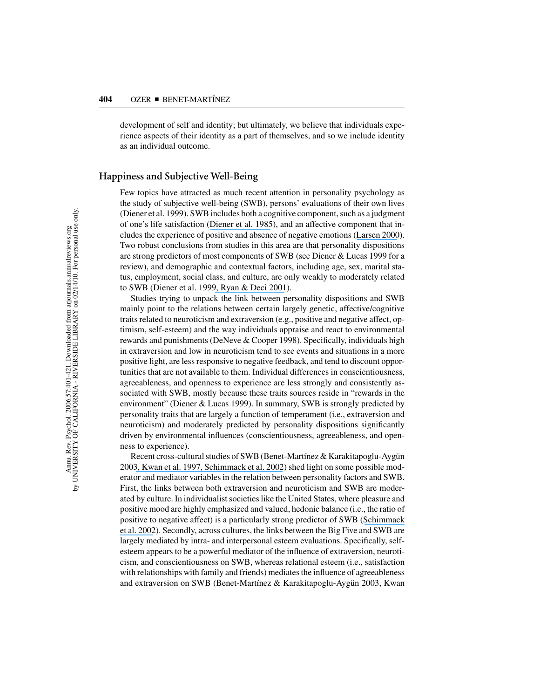development of self and identity; but ultimately, we believe that individuals experience aspects of their identity as a part of themselves, and so we include identity as an individual outcome.

## **Happiness and Subjective Well-Being**

Few topics have attracted as much recent attention in personality psychology as the study of subjective well-being (SWB), persons' evaluations of their own lives (Diener et al. 1999). SWB includes both a cognitive component, such as a judgment of one's life satisfaction (Diener et al. 1985), and an affective component that includes the experience of positive and absence of negative emotions (Larsen 2000). Two robust conclusions from studies in this area are that personality dispositions are strong predictors of most components of SWB (see Diener & Lucas 1999 for a review), and demographic and contextual factors, including age, sex, marital status, employment, social class, and culture, are only weakly to moderately related to SWB (Diener et al. 1999, Ryan & Deci 2001).

Studies trying to unpack the link between personality dispositions and SWB mainly point to the relations between certain largely genetic, affective/cognitive traits related to neuroticism and extraversion (e.g., positive and negative affect, optimism, self-esteem) and the way individuals appraise and react to environmental rewards and punishments (DeNeve & Cooper 1998). Specifically, individuals high in extraversion and low in neuroticism tend to see events and situations in a more positive light, are less responsive to negative feedback, and tend to discount opportunities that are not available to them. Individual differences in conscientiousness, agreeableness, and openness to experience are less strongly and consistently associated with SWB, mostly because these traits sources reside in "rewards in the environment" (Diener & Lucas 1999). In summary, SWB is strongly predicted by personality traits that are largely a function of temperament (i.e., extraversion and neuroticism) and moderately predicted by personality dispositions significantly driven by environmental influences (conscientiousness, agreeableness, and openness to experience).

Recent cross-cultural studies of SWB (Benet-Martínez & Karakitapoglu-Aygün 2003, Kwan et al. 1997, Schimmack et al. 2002) shed light on some possible moderator and mediator variables in the relation between personality factors and SWB. First, the links between both extraversion and neuroticism and SWB are moderated by culture. In individualist societies like the United States, where pleasure and positive mood are highly emphasized and valued, hedonic balance (i.e., the ratio of positive to negative affect) is a particularly strong predictor of SWB (Schimmack et al. 2002). Secondly, across cultures, the links between the Big Five and SWB are largely mediated by intra- and interpersonal esteem evaluations. Specifically, selfesteem appears to be a powerful mediator of the influence of extraversion, neuroticism, and conscientiousness on SWB, whereas relational esteem (i.e., satisfaction with relationships with family and friends) mediates the influence of agreeableness and extraversion on SWB (Benet-Martínez & Karakitapoglu-Aygün 2003, Kwan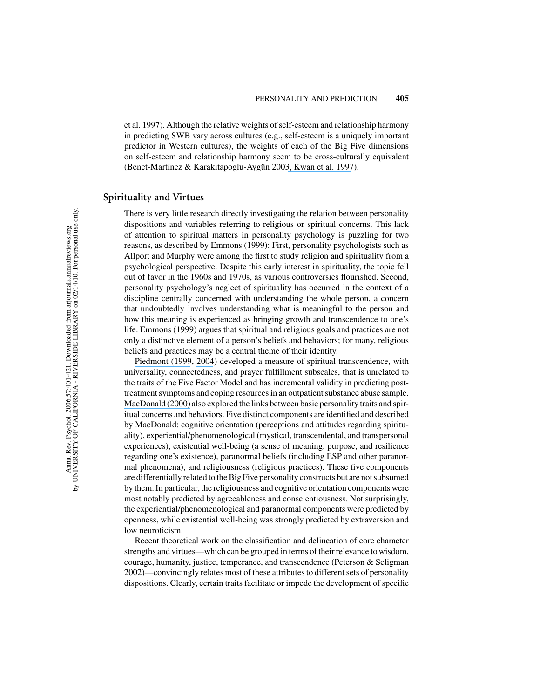et al. 1997). Although the relative weights of self-esteem and relationship harmony in predicting SWB vary across cultures (e.g., self-esteem is a uniquely important predictor in Western cultures), the weights of each of the Big Five dimensions on self-esteem and relationship harmony seem to be cross-culturally equivalent (Benet-Martínez & Karakitapoglu-Aygün 2003, Kwan et al. 1997).

#### **Spirituality and Virtues**

There is very little research directly investigating the relation between personality dispositions and variables referring to religious or spiritual concerns. This lack of attention to spiritual matters in personality psychology is puzzling for two reasons, as described by Emmons (1999): First, personality psychologists such as Allport and Murphy were among the first to study religion and spirituality from a psychological perspective. Despite this early interest in spirituality, the topic fell out of favor in the 1960s and 1970s, as various controversies flourished. Second, personality psychology's neglect of spirituality has occurred in the context of a discipline centrally concerned with understanding the whole person, a concern that undoubtedly involves understanding what is meaningful to the person and how this meaning is experienced as bringing growth and transcendence to one's life. Emmons (1999) argues that spiritual and religious goals and practices are not only a distinctive element of a person's beliefs and behaviors; for many, religious beliefs and practices may be a central theme of their identity.

Piedmont (1999, 2004) developed a measure of spiritual transcendence, with universality, connectedness, and prayer fulfillment subscales, that is unrelated to the traits of the Five Factor Model and has incremental validity in predicting posttreatment symptoms and coping resources in an outpatient substance abuse sample. MacDonald (2000) also explored the links between basic personality traits and spiritual concerns and behaviors. Five distinct components are identified and described by MacDonald: cognitive orientation (perceptions and attitudes regarding spirituality), experiential/phenomenological (mystical, transcendental, and transpersonal experiences), existential well-being (a sense of meaning, purpose, and resilience regarding one's existence), paranormal beliefs (including ESP and other paranormal phenomena), and religiousness (religious practices). These five components are differentially related to the Big Five personality constructs but are not subsumed by them. In particular, the religiousness and cognitive orientation components were most notably predicted by agreeableness and conscientiousness. Not surprisingly, the experiential/phenomenological and paranormal components were predicted by openness, while existential well-being was strongly predicted by extraversion and low neuroticism.

Recent theoretical work on the classification and delineation of core character strengths and virtues—which can be grouped in terms of their relevance to wisdom, courage, humanity, justice, temperance, and transcendence (Peterson & Seligman 2002)—convincingly relates most of these attributes to different sets of personality dispositions. Clearly, certain traits facilitate or impede the development of specific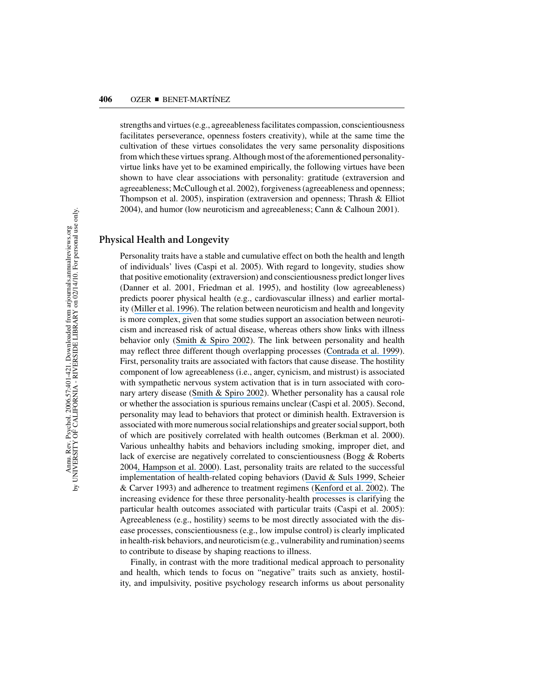strengths and virtues (e.g., agreeableness facilitates compassion, conscientiousness facilitates perseverance, openness fosters creativity), while at the same time the cultivation of these virtues consolidates the very same personality dispositions from which these virtues sprang. Although most of the aforementioned personalityvirtue links have yet to be examined empirically, the following virtues have been shown to have clear associations with personality: gratitude (extraversion and agreeableness; McCullough et al. 2002), forgiveness (agreeableness and openness; Thompson et al. 2005), inspiration (extraversion and openness; Thrash & Elliot 2004), and humor (low neuroticism and agreeableness; Cann & Calhoun 2001).

## **Physical Health and Longevity**

Personality traits have a stable and cumulative effect on both the health and length of individuals' lives (Caspi et al. 2005). With regard to longevity, studies show that positive emotionality (extraversion) and conscientiousness predict longer lives (Danner et al. 2001, Friedman et al. 1995), and hostility (low agreeableness) predicts poorer physical health (e.g., cardiovascular illness) and earlier mortality (Miller et al. 1996). The relation between neuroticism and health and longevity is more complex, given that some studies support an association between neuroticism and increased risk of actual disease, whereas others show links with illness behavior only (Smith & Spiro 2002). The link between personality and health may reflect three different though overlapping processes (Contrada et al. 1999). First, personality traits are associated with factors that cause disease. The hostility component of low agreeableness (i.e., anger, cynicism, and mistrust) is associated with sympathetic nervous system activation that is in turn associated with coronary artery disease (Smith & Spiro 2002). Whether personality has a causal role or whether the association is spurious remains unclear (Caspi et al. 2005). Second, personality may lead to behaviors that protect or diminish health. Extraversion is associated with more numerous social relationships and greater social support, both of which are positively correlated with health outcomes (Berkman et al. 2000). Various unhealthy habits and behaviors including smoking, improper diet, and lack of exercise are negatively correlated to conscientiousness (Bogg & Roberts 2004, Hampson et al. 2000). Last, personality traits are related to the successful implementation of health-related coping behaviors (David & Suls 1999, Scheier & Carver 1993) and adherence to treatment regimens (Kenford et al. 2002). The increasing evidence for these three personality-health processes is clarifying the particular health outcomes associated with particular traits (Caspi et al. 2005): Agreeableness (e.g., hostility) seems to be most directly associated with the disease processes, conscientiousness (e.g., low impulse control) is clearly implicated in health-risk behaviors, and neuroticism (e.g., vulnerability and rumination) seems to contribute to disease by shaping reactions to illness.

Finally, in contrast with the more traditional medical approach to personality and health, which tends to focus on "negative" traits such as anxiety, hostility, and impulsivity, positive psychology research informs us about personality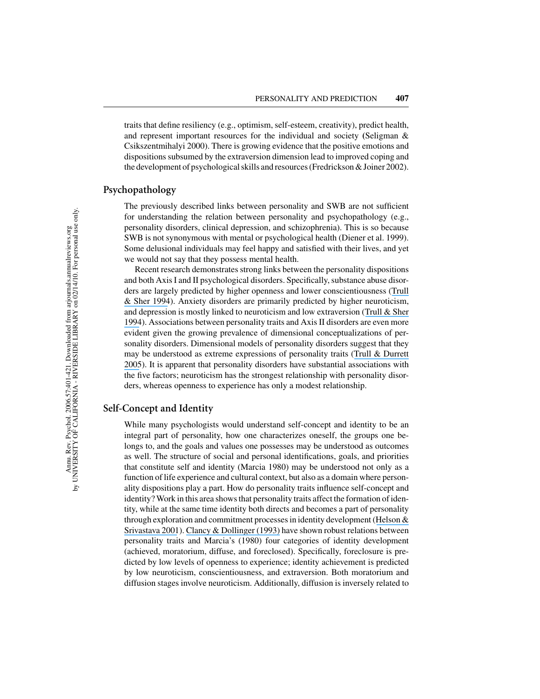traits that define resiliency (e.g., optimism, self-esteem, creativity), predict health, and represent important resources for the individual and society **(**Seligman & Csikszentmihalyi 2000). There is growing evidence that the positive emotions and dispositions subsumed by the extraversion dimension lead to improved coping and the development of psychological skills and resources (Fredrickson & Joiner 2002).

## **Psychopathology**

The previously described links between personality and SWB are not sufficient for understanding the relation between personality and psychopathology (e.g., personality disorders, clinical depression, and schizophrenia). This is so because SWB is not synonymous with mental or psychological health (Diener et al. 1999). Some delusional individuals may feel happy and satisfied with their lives, and yet we would not say that they possess mental health.

Recent research demonstrates strong links between the personality dispositions and both Axis I and II psychological disorders. Specifically, substance abuse disorders are largely predicted by higher openness and lower conscientiousness (Trull & Sher 1994). Anxiety disorders are primarily predicted by higher neuroticism, and depression is mostly linked to neuroticism and low extraversion (Trull & Sher 1994). Associations between personality traits and Axis II disorders are even more evident given the growing prevalence of dimensional conceptualizations of personality disorders. Dimensional models of personality disorders suggest that they may be understood as extreme expressions of personality traits (Trull & Durrett 2005). It is apparent that personality disorders have substantial associations with the five factors; neuroticism has the strongest relationship with personality disorders, whereas openness to experience has only a modest relationship.

## **Self-Concept and Identity**

While many psychologists would understand self-concept and identity to be an integral part of personality, how one characterizes oneself, the groups one belongs to, and the goals and values one possesses may be understood as outcomes as well. The structure of social and personal identifications, goals, and priorities that constitute self and identity (Marcia 1980) may be understood not only as a function of life experience and cultural context, but also as a domain where personality dispositions play a part. How do personality traits influence self-concept and identity? Work in this area shows that personality traits affect the formation of identity, while at the same time identity both directs and becomes a part of personality through exploration and commitment processes in identity development (Helson & Srivastava 2001). Clancy & Dollinger (1993) have shown robust relations between personality traits and Marcia's (1980) four categories of identity development (achieved, moratorium, diffuse, and foreclosed). Specifically, foreclosure is predicted by low levels of openness to experience; identity achievement is predicted by low neuroticism, conscientiousness, and extraversion. Both moratorium and diffusion stages involve neuroticism. Additionally, diffusion is inversely related to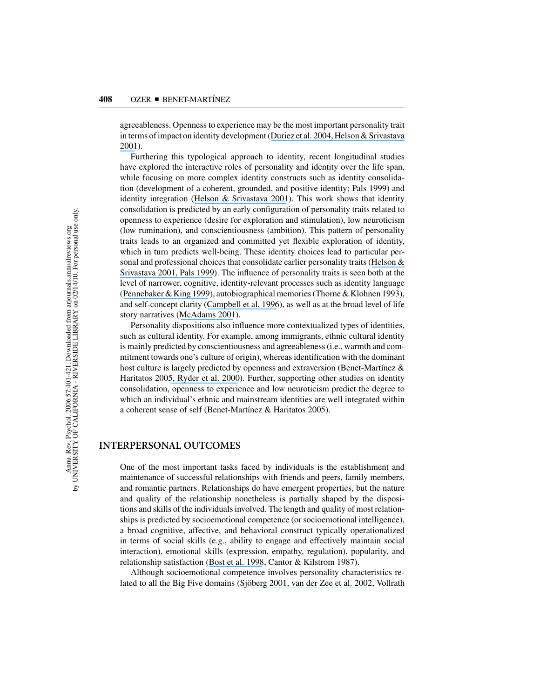agreeableness. Openness to experience may be the most important personality trait in terms of impact on identity development (Duriez et al. 2004, Helson & Srivastava 2001).

Furthering this typological approach to identity, recent longitudinal studies have explored the interactive roles of personality and identity over the life span, while focusing on more complex identity constructs such as identity consolidation (development of a coherent, grounded, and positive identity; Pals 1999) and identity integration (Helson & Srivastava 2001). This work shows that identity consolidation is predicted by an early configuration of personality traits related to openness to experience (desire for exploration and stimulation), low neuroticism (low rumination), and conscientiousness (ambition). This pattern of personality traits leads to an organized and committed yet flexible exploration of identity, which in turn predicts well-being. These identity choices lead to particular personal and professional choices that consolidate earlier personality traits (Helson & Srivastava 2001, Pals 1999). The influence of personality traits is seen both at the level of narrower, cognitive, identity-relevant processes such as identity language (Pennebaker & King 1999), autobiographical memories (Thorne & Klohnen 1993), and self-concept clarity (Campbell et al. 1996), as well as at the broad level of life story narratives (McAdams 2001).

Personality dispositions also influence more contextualized types of identities, such as cultural identity. For example, among immigrants, ethnic cultural identity is mainly predicted by conscientiousness and agreeableness (i.e., warmth and commitment towards one's culture of origin), whereas identification with the dominant host culture is largely predicted by openness and extraversion (Benet-Martínez & Haritatos 2005, Ryder et al. 2000). Further, supporting other studies on identity consolidation, openness to experience and low neuroticism predict the degree to which an individual's ethnic and mainstream identities are well integrated within a coherent sense of self (Benet-Martínez & Haritatos 2005).

#### **INTERPERSONAL OUTCOMES**

One of the most important tasks faced by individuals is the establishment and maintenance of successful relationships with friends and peers, family members, and romantic partners. Relationships do have emergent properties, but the nature and quality of the relationship nonetheless is partially shaped by the dispositions and skills of the individuals involved. The length and quality of most relationships is predicted by socioemotional competence (or socioemotional intelligence), a broad cognitive, affective, and behavioral construct typically operationalized in terms of social skills (e.g., ability to engage and effectively maintain social interaction), emotional skills (expression, empathy, regulation), popularity, and relationship satisfaction (Bost et al. 1998, Cantor & Kilstrom 1987).

Although socioemotional competence involves personality characteristics related to all the Big Five domains (Sjöberg 2001, van der Zee et al. 2002, Vollrath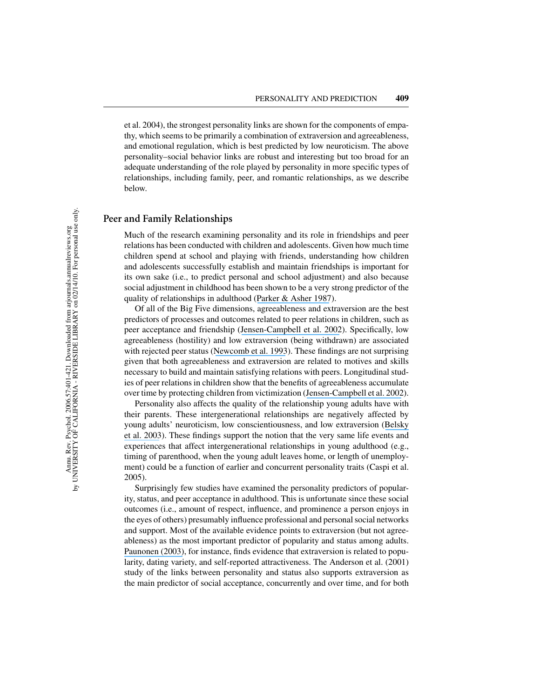et al. 2004), the strongest personality links are shown for the components of empathy, which seems to be primarily a combination of extraversion and agreeableness, and emotional regulation, which is best predicted by low neuroticism. The above personality–social behavior links are robust and interesting but too broad for an adequate understanding of the role played by personality in more specific types of relationships, including family, peer, and romantic relationships, as we describe below.

### **Peer and Family Relationships**

Much of the research examining personality and its role in friendships and peer relations has been conducted with children and adolescents. Given how much time children spend at school and playing with friends, understanding how children and adolescents successfully establish and maintain friendships is important for its own sake (i.e., to predict personal and school adjustment) and also because social adjustment in childhood has been shown to be a very strong predictor of the quality of relationships in adulthood (Parker & Asher 1987).

Of all of the Big Five dimensions, agreeableness and extraversion are the best predictors of processes and outcomes related to peer relations in children, such as peer acceptance and friendship (Jensen-Campbell et al. 2002). Specifically, low agreeableness (hostility) and low extraversion (being withdrawn) are associated with rejected peer status (Newcomb et al. 1993). These findings are not surprising given that both agreeableness and extraversion are related to motives and skills necessary to build and maintain satisfying relations with peers. Longitudinal studies of peer relations in children show that the benefits of agreeableness accumulate over time by protecting children from victimization (Jensen-Campbell et al. 2002).

Personality also affects the quality of the relationship young adults have with their parents. These intergenerational relationships are negatively affected by young adults' neuroticism, low conscientiousness, and low extraversion (Belsky et al. 2003). These findings support the notion that the very same life events and experiences that affect intergenerational relationships in young adulthood (e.g., timing of parenthood, when the young adult leaves home, or length of unemployment) could be a function of earlier and concurrent personality traits (Caspi et al. 2005).

Surprisingly few studies have examined the personality predictors of popularity, status, and peer acceptance in adulthood. This is unfortunate since these social outcomes (i.e., amount of respect, influence, and prominence a person enjoys in the eyes of others) presumably influence professional and personal social networks and support. Most of the available evidence points to extraversion (but not agreeableness) as the most important predictor of popularity and status among adults. Paunonen (2003), for instance, finds evidence that extraversion is related to popularity, dating variety, and self-reported attractiveness. The Anderson et al. (2001) study of the links between personality and status also supports extraversion as the main predictor of social acceptance, concurrently and over time, and for both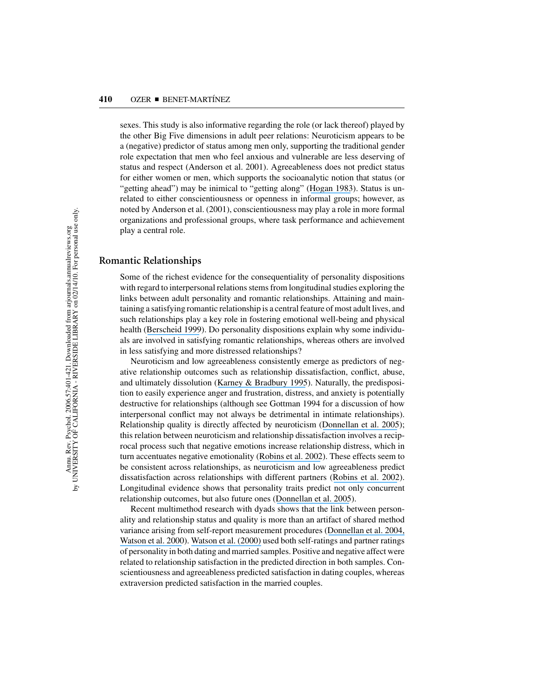sexes. This study is also informative regarding the role (or lack thereof) played by the other Big Five dimensions in adult peer relations: Neuroticism appears to be a (negative) predictor of status among men only, supporting the traditional gender role expectation that men who feel anxious and vulnerable are less deserving of status and respect (Anderson et al. 2001). Agreeableness does not predict status for either women or men, which supports the socioanalytic notion that status (or "getting ahead") may be inimical to "getting along" (Hogan 1983). Status is unrelated to either conscientiousness or openness in informal groups; however, as noted by Anderson et al. (2001), conscientiousness may play a role in more formal organizations and professional groups, where task performance and achievement play a central role.

### **Romantic Relationships**

Some of the richest evidence for the consequentiality of personality dispositions with regard to interpersonal relations stems from longitudinal studies exploring the links between adult personality and romantic relationships. Attaining and maintaining a satisfying romantic relationship is a central feature of most adult lives, and such relationships play a key role in fostering emotional well-being and physical health (Berscheid 1999). Do personality dispositions explain why some individuals are involved in satisfying romantic relationships, whereas others are involved in less satisfying and more distressed relationships?

Neuroticism and low agreeableness consistently emerge as predictors of negative relationship outcomes such as relationship dissatisfaction, conflict, abuse, and ultimately dissolution (Karney & Bradbury 1995). Naturally, the predisposition to easily experience anger and frustration, distress, and anxiety is potentially destructive for relationships (although see Gottman 1994 for a discussion of how interpersonal conflict may not always be detrimental in intimate relationships). Relationship quality is directly affected by neuroticism (Donnellan et al. 2005); this relation between neuroticism and relationship dissatisfaction involves a reciprocal process such that negative emotions increase relationship distress, which in turn accentuates negative emotionality (Robins et al. 2002). These effects seem to be consistent across relationships, as neuroticism and low agreeableness predict dissatisfaction across relationships with different partners (Robins et al. 2002). Longitudinal evidence shows that personality traits predict not only concurrent relationship outcomes, but also future ones (Donnellan et al. 2005).

Recent multimethod research with dyads shows that the link between personality and relationship status and quality is more than an artifact of shared method variance arising from self-report measurement procedures (Donnellan et al. 2004, Watson et al. 2000). Watson et al. (2000) used both self-ratings and partner ratings of personality in both dating and married samples. Positive and negative affect were related to relationship satisfaction in the predicted direction in both samples. Conscientiousness and agreeableness predicted satisfaction in dating couples, whereas extraversion predicted satisfaction in the married couples.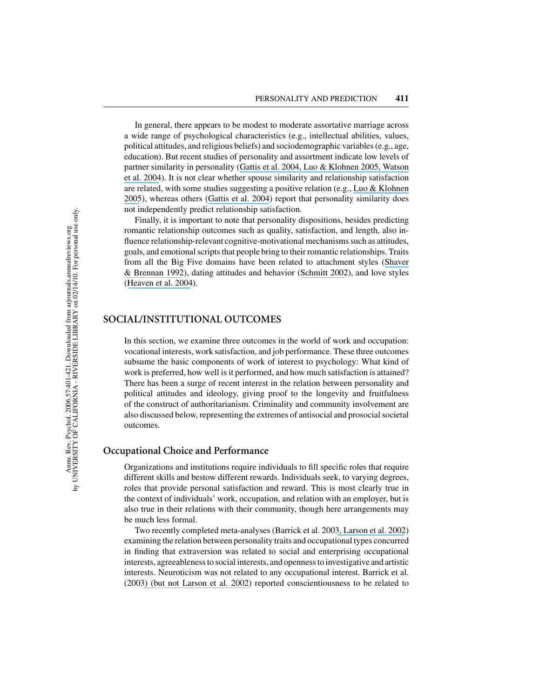In general, there appears to be modest to moderate assortative marriage across a wide range of psychological characteristics (e.g., intellectual abilities, values, political attitudes, and religious beliefs) and sociodemographic variables (e.g., age, education). But recent studies of personality and assortment indicate low levels of partner similarity in personality (Gattis et al. 2004, Luo & Klohnen 2005, Watson et al. 2004). It is not clear whether spouse similarity and relationship satisfaction are related, with some studies suggesting a positive relation (e.g., Luo & Klohnen 2005), whereas others (Gattis et al. 2004) report that personality similarity does not independently predict relationship satisfaction.

Finally, it is important to note that personality dispositions, besides predicting romantic relationship outcomes such as quality, satisfaction, and length, also influence relationship-relevant cognitive-motivational mechanisms such as attitudes, goals, and emotional scripts that people bring to their romantic relationships. Traits from all the Big Five domains have been related to attachment styles (Shaver & Brennan 1992), dating attitudes and behavior (Schmitt 2002), and love styles (Heaven et al. 2004).

## **SOCIAL/INSTITUTIONAL OUTCOMES**

In this section, we examine three outcomes in the world of work and occupation: vocational interests, work satisfaction, and job performance. These three outcomes subsume the basic components of work of interest to psychology: What kind of work is preferred, how well is it performed, and how much satisfaction is attained? There has been a surge of recent interest in the relation between personality and political attitudes and ideology, giving proof to the longevity and fruitfulness of the construct of authoritarianism. Criminality and community involvement are also discussed below, representing the extremes of antisocial and prosocial societal outcomes.

## **Occupational Choice and Performance**

Organizations and institutions require individuals to fill specific roles that require different skills and bestow different rewards. Individuals seek, to varying degrees, roles that provide personal satisfaction and reward. This is most clearly true in the context of individuals' work, occupation, and relation with an employer, but is also true in their relations with their community, though here arrangements may be much less formal.

Two recently completed meta-analyses (Barrick et al. 2003, Larson et al. 2002) examining the relation between personality traits and occupational types concurred in finding that extraversion was related to social and enterprising occupational interests, agreeableness to social interests, and openness to investigative and artistic interests. Neuroticism was not related to any occupational interest. Barrick et al. (2003) (but not Larson et al. 2002) reported conscientiousness to be related to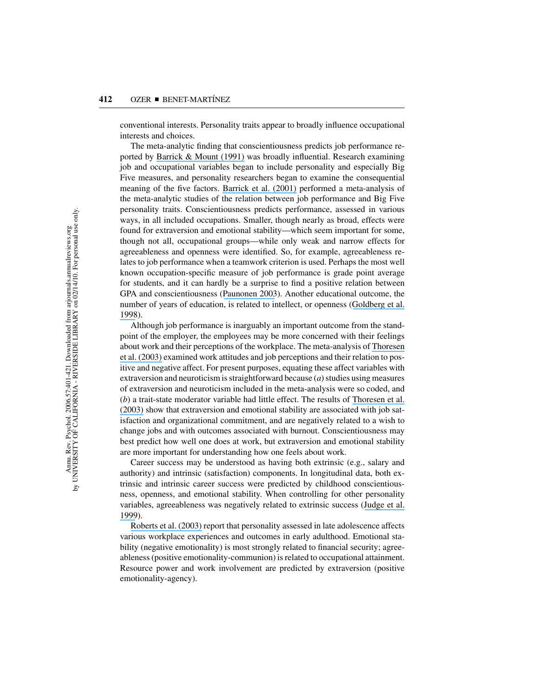conventional interests. Personality traits appear to broadly influence occupational interests and choices.

The meta-analytic finding that conscientiousness predicts job performance reported by Barrick & Mount (1991) was broadly influential. Research examining job and occupational variables began to include personality and especially Big Five measures, and personality researchers began to examine the consequential meaning of the five factors. Barrick et al. (2001) performed a meta-analysis of the meta-analytic studies of the relation between job performance and Big Five personality traits. Conscientiousness predicts performance, assessed in various ways, in all included occupations. Smaller, though nearly as broad, effects were found for extraversion and emotional stability—which seem important for some, though not all, occupational groups—while only weak and narrow effects for agreeableness and openness were identified. So, for example, agreeableness relates to job performance when a teamwork criterion is used. Perhaps the most well known occupation-specific measure of job performance is grade point average for students, and it can hardly be a surprise to find a positive relation between GPA and conscientiousness (Paunonen 2003). Another educational outcome, the number of years of education, is related to intellect, or openness (Goldberg et al. 1998).

Although job performance is inarguably an important outcome from the standpoint of the employer, the employees may be more concerned with their feelings about work and their perceptions of the workplace. The meta-analysis of Thoresen et al. (2003) examined work attitudes and job perceptions and their relation to positive and negative affect. For present purposes, equating these affect variables with extraversion and neuroticism is straightforward because (*a*) studies using measures of extraversion and neuroticism included in the meta-analysis were so coded, and (*b*) a trait-state moderator variable had little effect. The results of Thoresen et al. (2003) show that extraversion and emotional stability are associated with job satisfaction and organizational commitment, and are negatively related to a wish to change jobs and with outcomes associated with burnout. Conscientiousness may best predict how well one does at work, but extraversion and emotional stability are more important for understanding how one feels about work.

Career success may be understood as having both extrinsic (e.g., salary and authority) and intrinsic (satisfaction) components. In longitudinal data, both extrinsic and intrinsic career success were predicted by childhood conscientiousness, openness, and emotional stability. When controlling for other personality variables, agreeableness was negatively related to extrinsic success (Judge et al. 1999).

Roberts et al. (2003) report that personality assessed in late adolescence affects various workplace experiences and outcomes in early adulthood. Emotional stability (negative emotionality) is most strongly related to financial security; agreeableness (positive emotionality-communion) is related to occupational attainment. Resource power and work involvement are predicted by extraversion (positive emotionality-agency).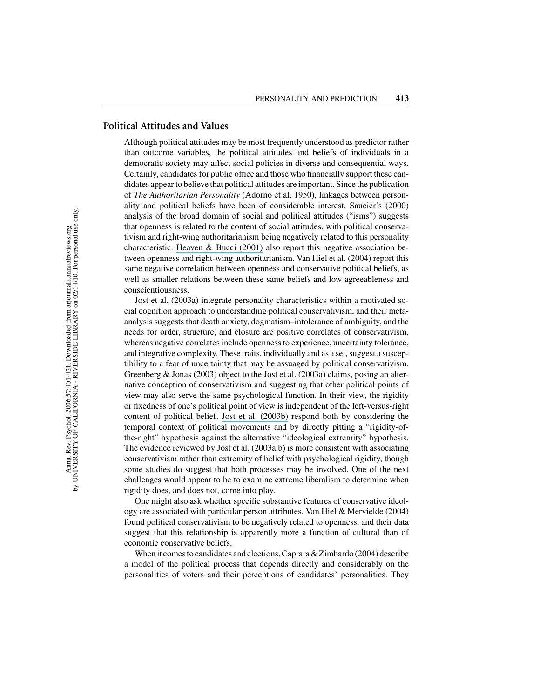#### **Political Attitudes and Values**

Although political attitudes may be most frequently understood as predictor rather than outcome variables, the political attitudes and beliefs of individuals in a democratic society may affect social policies in diverse and consequential ways. Certainly, candidates for public office and those who financially support these candidates appear to believe that political attitudes are important. Since the publication of *The Authoritarian Personality* (Adorno et al. 1950), linkages between personality and political beliefs have been of considerable interest. Saucier's (2000) analysis of the broad domain of social and political attitudes ("isms") suggests that openness is related to the content of social attitudes, with political conservativism and right-wing authoritarianism being negatively related to this personality characteristic. Heaven & Bucci (2001) also report this negative association between openness and right-wing authoritarianism. Van Hiel et al. (2004) report this same negative correlation between openness and conservative political beliefs, as well as smaller relations between these same beliefs and low agreeableness and conscientiousness.

Jost et al. (2003a) integrate personality characteristics within a motivated social cognition approach to understanding political conservativism, and their metaanalysis suggests that death anxiety, dogmatism–intolerance of ambiguity, and the needs for order, structure, and closure are positive correlates of conservativism, whereas negative correlates include openness to experience, uncertainty tolerance, and integrative complexity. These traits, individually and as a set, suggest a susceptibility to a fear of uncertainty that may be assuaged by political conservativism. Greenberg & Jonas (2003) object to the Jost et al. (2003a) claims, posing an alternative conception of conservativism and suggesting that other political points of view may also serve the same psychological function. In their view, the rigidity or fixedness of one's political point of view is independent of the left-versus-right content of political belief. Jost et al. (2003b) respond both by considering the temporal context of political movements and by directly pitting a "rigidity-ofthe-right" hypothesis against the alternative "ideological extremity" hypothesis. The evidence reviewed by Jost et al. (2003a,b) is more consistent with associating conservativism rather than extremity of belief with psychological rigidity, though some studies do suggest that both processes may be involved. One of the next challenges would appear to be to examine extreme liberalism to determine when rigidity does, and does not, come into play.

One might also ask whether specific substantive features of conservative ideology are associated with particular person attributes. Van Hiel & Mervielde (2004) found political conservativism to be negatively related to openness, and their data suggest that this relationship is apparently more a function of cultural than of economic conservative beliefs.

When it comes to candidates and elections, Caprara & Zimbardo (2004) describe a model of the political process that depends directly and considerably on the personalities of voters and their perceptions of candidates' personalities. They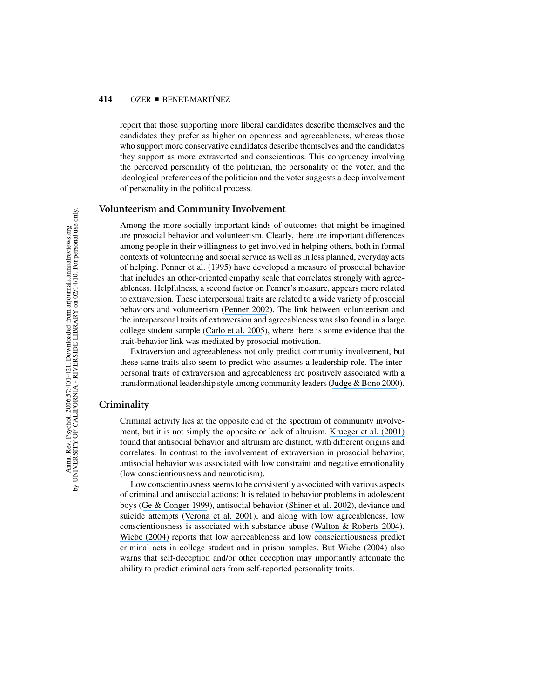report that those supporting more liberal candidates describe themselves and the candidates they prefer as higher on openness and agreeableness, whereas those who support more conservative candidates describe themselves and the candidates they support as more extraverted and conscientious. This congruency involving the perceived personality of the politician, the personality of the voter, and the ideological preferences of the politician and the voter suggests a deep involvement of personality in the political process.

#### **Volunteerism and Community Involvement**

Among the more socially important kinds of outcomes that might be imagined are prosocial behavior and volunteerism. Clearly, there are important differences among people in their willingness to get involved in helping others, both in formal contexts of volunteering and social service as well as in less planned, everyday acts of helping. Penner et al. (1995) have developed a measure of prosocial behavior that includes an other-oriented empathy scale that correlates strongly with agreeableness. Helpfulness, a second factor on Penner's measure, appears more related to extraversion. These interpersonal traits are related to a wide variety of prosocial behaviors and volunteerism (Penner 2002). The link between volunteerism and the interpersonal traits of extraversion and agreeableness was also found in a large college student sample (Carlo et al. 2005), where there is some evidence that the trait-behavior link was mediated by prosocial motivation.

Extraversion and agreeableness not only predict community involvement, but these same traits also seem to predict who assumes a leadership role. The interpersonal traits of extraversion and agreeableness are positively associated with a transformational leadership style among community leaders (Judge & Bono 2000).

#### **Criminality**

Criminal activity lies at the opposite end of the spectrum of community involvement, but it is not simply the opposite or lack of altruism. Krueger et al. (2001) found that antisocial behavior and altruism are distinct, with different origins and correlates. In contrast to the involvement of extraversion in prosocial behavior, antisocial behavior was associated with low constraint and negative emotionality (low conscientiousness and neuroticism).

Low conscientiousness seems to be consistently associated with various aspects of criminal and antisocial actions: It is related to behavior problems in adolescent boys (Ge & Conger 1999), antisocial behavior (Shiner et al. 2002), deviance and suicide attempts (Verona et al. 2001), and along with low agreeableness, low conscientiousness is associated with substance abuse (Walton & Roberts 2004). Wiebe (2004) reports that low agreeableness and low conscientiousness predict criminal acts in college student and in prison samples. But Wiebe (2004) also warns that self-deception and/or other deception may importantly attenuate the ability to predict criminal acts from self-reported personality traits.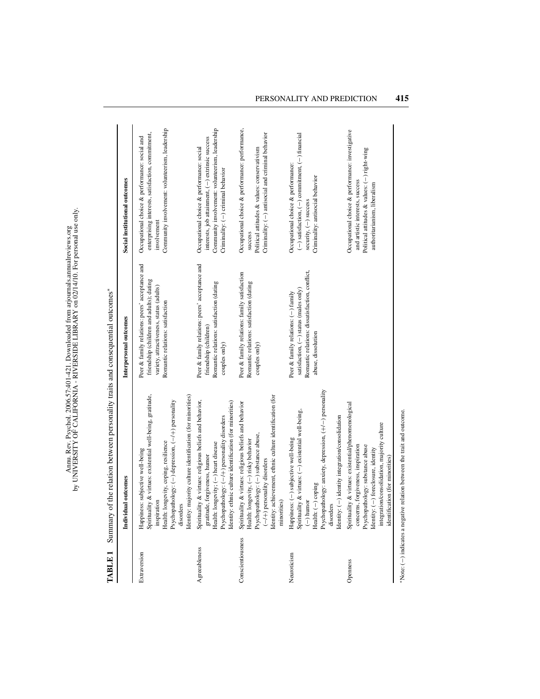| TABLE 1           | of the relation between personality traits and consequential outcomes*<br>Summary                                                                                                                                                                                                       |                                                                                                                                                                            |                                                                                                                                                                                        |
|-------------------|-----------------------------------------------------------------------------------------------------------------------------------------------------------------------------------------------------------------------------------------------------------------------------------------|----------------------------------------------------------------------------------------------------------------------------------------------------------------------------|----------------------------------------------------------------------------------------------------------------------------------------------------------------------------------------|
|                   | idual outcomes<br>Indivi                                                                                                                                                                                                                                                                | Interpersonal outcomes                                                                                                                                                     | Social institutional outcomes                                                                                                                                                          |
| Extraversion      | Spirituality & virtues: existential well-being, gratitude,<br>(dentity: majority culture identification (for minorities)<br>Psychopathology: (-) depression, (-/+) personality<br>Health: longevity, coping, resilience<br>Happiness: subjective well-being<br>inspiration<br>disorders | Peer & family relations: peers' acceptance and<br>friendship (children and adults); dating<br>variety, attractiveness, status (adults)<br>Romantic relations: satisfaction | Community involvement: volunteerism, leadership<br>enterprising interests, satisfaction, commitment,<br>Occupational choice & performance: social and<br>involvement                   |
| Agreeableness     | Spirituality & virtues: religious beliefs and behavior,<br>Identity: ethnic culture identification (for minorities)<br>Psychopathology: (-/+) personality disorders<br>Health: longevity; (-) heart disease<br>gratitude, forgiveness, humor                                            | Peer & family relations: peers' acceptance and<br>Romantic relations: satisfaction (dating<br>friendship (children)<br>couples only)                                       | Community involvement: volunteerism, leadership<br>interests, job attainment, (-) extrinsic success<br>Occupational choice & performance: social<br>Criminality: (-) criminal behavior |
| Conscientiousness | Identity: achievement, ethnic culture identification (for<br>Spirituality & virtues: religious beliefs and behavior<br>Psychopathology: (-) substance abuse,<br>Health: longevity, (-) risky behavior<br>$(-/-)$ personality disorders<br>minorities)                                   | Peer & family relations: family satisfaction<br>Romantic relations: satisfaction (dating<br>couples only)                                                                  | Occupational choice & performance: performance,<br>Criminality: $(-)$ antisocial and criminal behavior<br>Political attitudes & values: conservativism<br>success                      |
| Neuroticism       | Psychopathology: anxiety, depression, (+/-) personality<br>Spirituality & virtues: (-) existential well-being,<br>Identity: (-) identity integration/consolidation<br>Happiness: (-) subjective well-being<br>Health: $(-)$ coping<br>$(-)$ humor<br>disorders                          | Romantic relations: dissatisfaction, conflict,<br>satisfaction, $(-)$ status (males only)<br>Peer & family relations: $(-)$ family<br>abuse, dissolution                   | $(-)$ satisfaction, $(-)$ commitment, $(-)$ financial<br>Occupational choice & performance:<br>Criminality: antisocial behavior<br>security, $(-)$ success                             |
| Openness          | Spirituality & virtues: existential/phenomenological<br>integration/consolidation, majority culture<br>concerns, forgiveness, inspiration<br>Psychopathology: substance abuse<br>(dentity: (-) foreclosure, identity<br>identification (for minorities)                                 |                                                                                                                                                                            | Occupational choice & performance: investigative<br>Political attitudes & values: $(-)$ right-wing<br>and artistic interests, success<br>authoritarianism, liberalism                  |

Amu. Rev. Psychol. 2006.57:401-421. Downloaded from arjournals.annualreviews.org<br>by UNIVERSITY OF CALIFORNIA - RIVERSIDE LIBRARY on 02/14/10. For personal use only. by UNIVERSITY OF CALIFORNIA - RIVERSIDE LIBRARY on 02/14/10. For personal use only.Annu. Rev. Psychol. 2006.57:401-421. Downloaded from arjournals.annualreviews.org

 $*$  Note:  $(-)$  indicates a negative relation between the trait and outcome. ∗Note: (−) indicates a negative relation between the trait and outcome.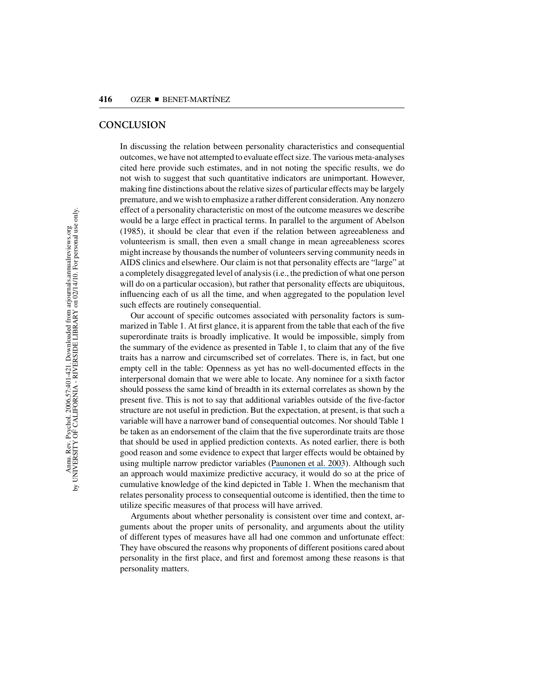#### **CONCLUSION**

In discussing the relation between personality characteristics and consequential outcomes, we have not attempted to evaluate effect size. The various meta-analyses cited here provide such estimates, and in not noting the specific results, we do not wish to suggest that such quantitative indicators are unimportant. However, making fine distinctions about the relative sizes of particular effects may be largely premature, and we wish to emphasize a rather different consideration. Any nonzero effect of a personality characteristic on most of the outcome measures we describe would be a large effect in practical terms. In parallel to the argument of Abelson (1985), it should be clear that even if the relation between agreeableness and volunteerism is small, then even a small change in mean agreeableness scores might increase by thousands the number of volunteers serving community needs in AIDS clinics and elsewhere. Our claim is not that personality effects are "large" at a completely disaggregated level of analysis (i.e., the prediction of what one person will do on a particular occasion), but rather that personality effects are ubiquitous, influencing each of us all the time, and when aggregated to the population level such effects are routinely consequential.

Our account of specific outcomes associated with personality factors is summarized in Table 1. At first glance, it is apparent from the table that each of the five superordinate traits is broadly implicative. It would be impossible, simply from the summary of the evidence as presented in Table 1, to claim that any of the five traits has a narrow and circumscribed set of correlates. There is, in fact, but one empty cell in the table: Openness as yet has no well-documented effects in the interpersonal domain that we were able to locate. Any nominee for a sixth factor should possess the same kind of breadth in its external correlates as shown by the present five. This is not to say that additional variables outside of the five-factor structure are not useful in prediction. But the expectation, at present, is that such a variable will have a narrower band of consequential outcomes. Nor should Table 1 be taken as an endorsement of the claim that the five superordinate traits are those that should be used in applied prediction contexts. As noted earlier, there is both good reason and some evidence to expect that larger effects would be obtained by using multiple narrow predictor variables (Paunonen et al. 2003). Although such an approach would maximize predictive accuracy, it would do so at the price of cumulative knowledge of the kind depicted in Table 1. When the mechanism that relates personality process to consequential outcome is identified, then the time to utilize specific measures of that process will have arrived.

Arguments about whether personality is consistent over time and context, arguments about the proper units of personality, and arguments about the utility of different types of measures have all had one common and unfortunate effect: They have obscured the reasons why proponents of different positions cared about personality in the first place, and first and foremost among these reasons is that personality matters.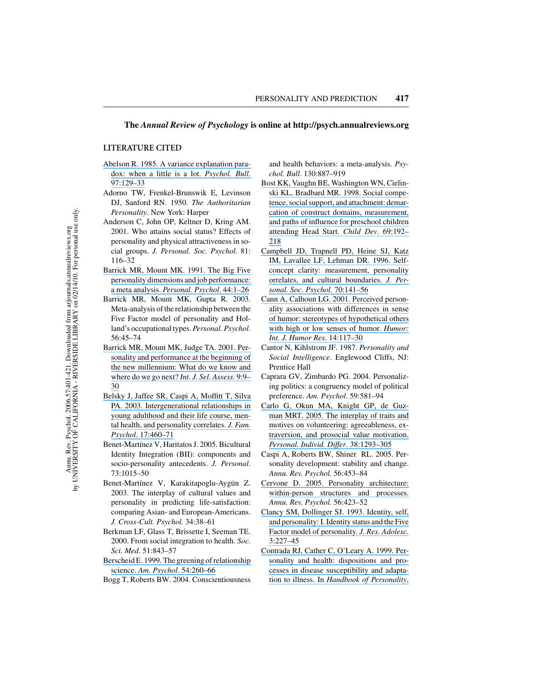#### **The** *Annual Review of Psychology* **is online at http://psych.annualreviews.org**

#### **LITERATURE CITED**

- Abelson R. 1985. A variance explanation paradox: when a little is a lot. *Psychol. Bull*. 97:129–33
- Adorno TW, Frenkel-Brunswik E, Levinson DJ, Sanford RN. 1950. *The Authoritarian Personality*. New York: Harper
- Anderson C, John OP, Keltner D, Kring AM. 2001. Who attains social status? Effects of personality and physical attractiveness in social groups. *J. Personal. Soc. Psychol*. 81: 116–32
- Barrick MR, Mount MK. 1991. The Big Five personality dimensions and job performance: a meta analysis. *Personal. Psychol*. 44:1–26
- Barrick MR, Mount MK, Gupta R. 2003. Meta-analysis of the relationship between the Five Factor model of personality and Holland's occupational types. *Personal. Psychol*. 56:45–74
- Barrick MR, Mount MK, Judge TA. 2001. Personality and performance at the beginning of the new millennium: What do we know and where do we go next? *Int. J. Sel. Assess.* 9:9– 30
- Belsky J, Jaffee SR, Caspi A, Moffitt T, Silva PA. 2003. Intergenerational relationships in young adulthood and their life course, mental health, and personality correlates. *J. Fam. Psychol*. 17:460–71
- Benet-Martínez V, Haritatos J. 2005. Bicultural Identity Integration (BII): components and socio-personality antecedents. *J. Personal*. 73:1015–50
- Benet-Martínez V, Karakitapoglu-Aygün Z. 2003. The interplay of cultural values and personality in predicting life-satisfaction: comparing Asian- and European-Americans. *J. Cross-Cult. Psychol.* 34:38–61
- Berkman LF, Glass T, Brissette I, Seeman TE. 2000. From social integration to health. *Soc. Sci. Med*. 51:843–57
- Berscheid E. 1999. The greening of relationship science. *Am. Psychol*. 54:260–66
- Bogg T, Roberts BW. 2004. Conscientiousness

and health behaviors: a meta-analysis. *Psychol. Bull*. 130:887–919

- Bost KK, Vaughn BE, Washington WN, Cielinski KL, Bradbard MR. 1998. Social competence, social support, and attachment: demarcation of construct domains, measurement, and paths of influence for preschool children attending Head Start. *Child Dev*. 69:192– 218
- Campbell JD, Trapnell PD, Heine SJ, Katz IM, Lavallee LF, Lehman DR. 1996. Selfconcept clarity: measurement, personality orrelates, and cultural boundaries. *J. Personal. Soc. Psychol.* 70:141–56
- Cann A, Calhoun LG. 2001. Perceived personality associations with differences in sense of humor: stereotypes of hypothetical others with high or low senses of humor. *Humor: Int. J. Humor Res*. 14:117–30
- Cantor N, Kihlstrom JF. 1987. *Personality and Social Intelligence*. Englewood Cliffs, NJ: Prentice Hall
- Caprara GV, Zimbardo PG. 2004. Personalizing politics: a congruency model of political preference. *Am. Psychol*. 59:581–94
- Carlo G, Okun MA, Knight GP, de Guzman MRT. 2005. The interplay of traits and motives on volunteering: agreeableness, extraversion, and prosocial value motivation. *Personal. Individ. Differ*. 38:1293–305
- Caspi A, Roberts BW, Shiner RL. 2005. Personality development: stability and change. *Annu. Rev. Psychol.* 56:453–84
- Cervone D. 2005. Personality architecture: within-person structures and processes. *Annu. Rev. Psychol.* 56:423–52
- Clancy SM, Dollinger SJ. 1993. Identity, self, and personality: I. Identity status and the Five Factor model of personality. *J. Res. Adolesc.* 3:227–45
- Contrada RJ, Cather C, O'Leary A. 1999. Personality and health: dispositions and processes in disease susceptibility and adaptation to illness. In *Handbook of Personality*,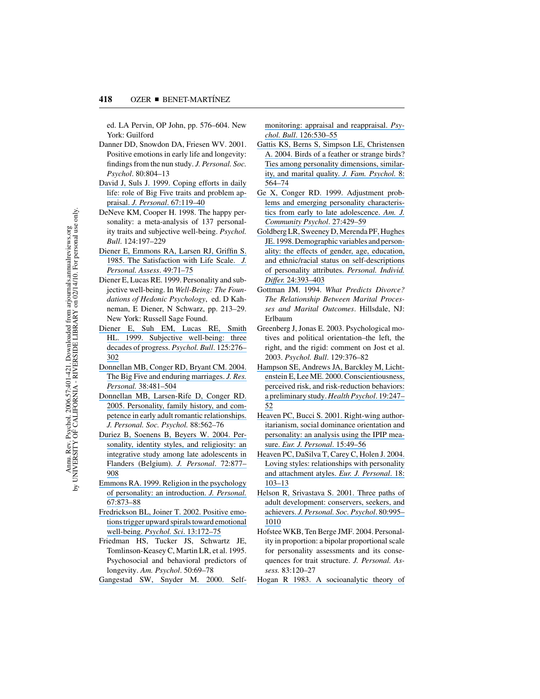ed. LA Pervin, OP John, pp. 576–604. New York: Guilford

- Danner DD, Snowdon DA, Friesen WV. 2001. Positive emotions in early life and longevity: findings from the nun study. *J. Personal. Soc. Psychol*. 80:804–13
- David J, Suls J. 1999. Coping efforts in daily life: role of Big Five traits and problem appraisal. *J. Personal*. 67:119–40
- DeNeve KM, Cooper H. 1998. The happy personality: a meta-analysis of 137 personality traits and subjective well-being. *Psychol. Bull*. 124:197–229
- Diener E, Emmons RA, Larsen RJ, Griffin S. 1985. The Satisfaction with Life Scale. *J. Personal. Assess*. 49:71–75
- Diener E, Lucas RE. 1999. Personality and subjective well-being. In *Well-Being: The Foundations of Hedonic Psychology*, ed. D Kahneman, E Diener, N Schwarz, pp. 213–29. New York: Russell Sage Found.
- Diener E, Suh EM, Lucas RE, Smith HL. 1999. Subjective well-being: three decades of progress. *Psychol. Bull*. 125:276– 302
- Donnellan MB, Conger RD, Bryant CM. 2004. The Big Five and enduring marriages. *J. Res. Personal.* 38:481–504
- Donnellan MB, Larsen-Rife D, Conger RD. 2005. Personality, family history, and competence in early adult romantic relationships. *J. Personal. Soc. Psychol.* 88:562–76
- Duriez B, Soenens B, Beyers W. 2004. Personality, identity styles, and religiosity: an integrative study among late adolescents in Flanders (Belgium). *J. Personal*. 72:877– 908
- Emmons RA. 1999. Religion in the psychology of personality: an introduction. *J. Personal.* 67:873–88
- Fredrickson BL, Joiner T. 2002. Positive emotions trigger upward spirals toward emotional well-being. *Psychol. Sci*. 13:172–75
- Friedman HS, Tucker JS, Schwartz JE, Tomlinson-Keasey C, Martin LR, et al. 1995. Psychosocial and behavioral predictors of longevity. *Am. Psychol*. 50:69–78
- Gangestad SW, Snyder M. 2000. Self-

monitoring: appraisal and reappraisal. *Psychol. Bull*. 126:530–55

- Gattis KS, Berns S, Simpson LE, Christensen A. 2004. Birds of a feather or strange birds? Ties among personality dimensions, similarity, and marital quality. *J. Fam. Psychol.* 8: 564–74
- Ge X, Conger RD. 1999. Adjustment problems and emerging personality characteristics from early to late adolescence. *Am. J. Community Psychol*. 27:429–59
- Goldberg LR, Sweeney D, Merenda PF, Hughes JE. 1998. Demographic variables and personality: the effects of gender, age, education, and ethnic/racial status on self-descriptions of personality attributes. *Personal. Individ. Differ.* 24:393–403
- Gottman JM. 1994. *What Predicts Divorce? The Relationship Between Marital Processes and Marital Outcomes*. Hillsdale, NJ: Erlbaum
- Greenberg J, Jonas E. 2003. Psychological motives and political orientation–the left, the right, and the rigid: comment on Jost et al. 2003. *Psychol. Bull*. 129:376–82
- Hampson SE, Andrews JA, Barckley M, Lichtenstein E, Lee ME. 2000. Conscientiousness, perceived risk, and risk-reduction behaviors: a preliminary study. *Health Psychol*. 19:247– 52
- Heaven PC, Bucci S. 2001. Right-wing authoritarianism, social dominance orientation and personality: an analysis using the IPIP measure. *Eur. J. Personal*. 15:49–56
- Heaven PC, DaSilva T, Carey C, Holen J. 2004. Loving styles: relationships with personality and attachment atyles. *Eur. J. Personal*. 18: 103–13
- Helson R, Srivastava S. 2001. Three paths of adult development: conservers, seekers, and achievers. *J. Personal. Soc. Psychol*. 80:995– 1010
- Hofstee WKB, Ten Berge JMF. 2004. Personality in proportion: a bipolar proportional scale for personality assessments and its consequences for trait structure. *J. Personal. Assess.* 83:120–27
- Hogan R 1983. A socioanalytic theory of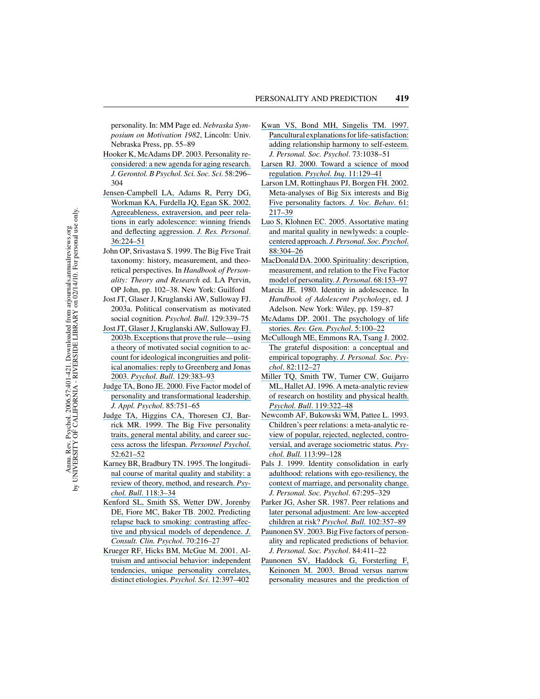personality. In: MM Page ed. *Nebraska Symposium on Motivation 1982*, Lincoln: Univ. Nebraska Press, pp. 55–89

- Hooker K, McAdams DP. 2003. Personality reconsidered: a new agenda for aging research. *J. Gerontol. B Psychol. Sci. Soc. Sci*. 58:296– 304
- Jensen-Campbell LA, Adams R, Perry DG, Workman KA, Furdella JQ, Egan SK. 2002. Agreeableness, extraversion, and peer relations in early adolescence: winning friends and deflecting aggression. *J. Res. Personal*. 36:224–51
- John OP, Srivastava S. 1999. The Big Five Trait taxonomy: history, measurement, and theoretical perspectives. In *Handbook of Personality: Theory and Research* ed. LA Pervin, OP John, pp. 102–38. New York: Guilford
- Jost JT, Glaser J, Kruglanski AW, Sulloway FJ. 2003a. Political conservatism as motivated social cognition. *Psychol. Bull*. 129:339–75
- Jost JT, Glaser J, Kruglanski AW, Sulloway FJ. 2003b. Exceptions that prove the rule—using a theory of motivated social cognition to account for ideological incongruities and political anomalies: reply to Greenberg and Jonas 2003. *Psychol. Bull*. 129:383–93
- Judge TA, Bono JE. 2000. Five Factor model of personality and transformational leadership. *J. Appl. Psychol*. 85:751–65
- Judge TA, Higgins CA, Thoresen CJ, Barrick MR. 1999. The Big Five personality traits, general mental ability, and career success across the lifespan. *Personnel Psychol.* 52:621–52
- Karney BR, Bradbury TN. 1995. The longitudinal course of marital quality and stability: a review of theory, method, and research. *Psychol. Bull*. 118:3–34
- Kenford SL, Smith SS, Wetter DW, Jorenby DE, Fiore MC, Baker TB. 2002. Predicting relapse back to smoking: contrasting affective and physical models of dependence. *J. Consult. Clin. Psychol*. 70:216–27
- Krueger RF, Hicks BM, McGue M. 2001. Altruism and antisocial behavior: independent tendencies, unique personality correlates, distinct etiologies. *Psychol. Sci*. 12:397–402
- Kwan VS, Bond MH, Singelis TM. 1997. Pancultural explanations for life-satisfaction: adding relationship harmony to self-esteem. *J. Personal. Soc. Psychol*. 73:1038–51
- Larsen RJ. 2000. Toward a science of mood regulation. *Psychol. Inq*. 11:129–41
- Larson LM, Rottinghaus PJ, Borgen FH. 2002. Meta-analyses of Big Six interests and Big Five personality factors. *J. Voc. Behav*. 61: 217–39
- Luo S, Klohnen EC. 2005. Assortative mating and marital quality in newlyweds: a couplecentered approach. *J. Personal. Soc. Psychol*. 88:304–26
- MacDonald DA. 2000. Spirituality: description, measurement, and relation to the Five Factor model of personality. *J. Personal*. 68:153–97
- Marcia JE. 1980. Identity in adolescence. In *Handbook of Adolescent Psychology*, ed. J Adelson. New York: Wiley, pp. 159–87
- McAdams DP. 2001. The psychology of life stories. *Rev. Gen. Psychol*. 5:100–22
- McCullough ME, Emmons RA, Tsang J. 2002. The grateful disposition: a conceptual and empirical topography. *J. Personal. Soc. Psychol*. 82:112–27
- Miller TQ, Smith TW, Turner CW, Guijarro ML, Hallet AJ. 1996. A meta-analytic review of research on hostility and physical health. *Psychol. Bull*. 119:322–48
- Newcomb AF, Bukowski WM, Pattee L. 1993. Children's peer relations: a meta-analytic review of popular, rejected, neglected, controversial, and average sociometric status. *Psychol. Bull.* 113:99–128
- Pals J. 1999. Identity consolidation in early adulthood: relations with ego-resiliency, the context of marriage, and personality change. *J. Personal. Soc. Psychol*. 67:295–329
- Parker JG, Asher SR. 1987. Peer relations and later personal adjustment: Are low-accepted children at risk? *Psychol. Bull.* 102:357–89
- Paunonen SV. 2003. Big Five factors of personality and replicated predictions of behavior. *J. Personal. Soc. Psychol*. 84:411–22
- Paunonen SV, Haddock G, Forsterling F, Keinonen M. 2003. Broad versus narrow personality measures and the prediction of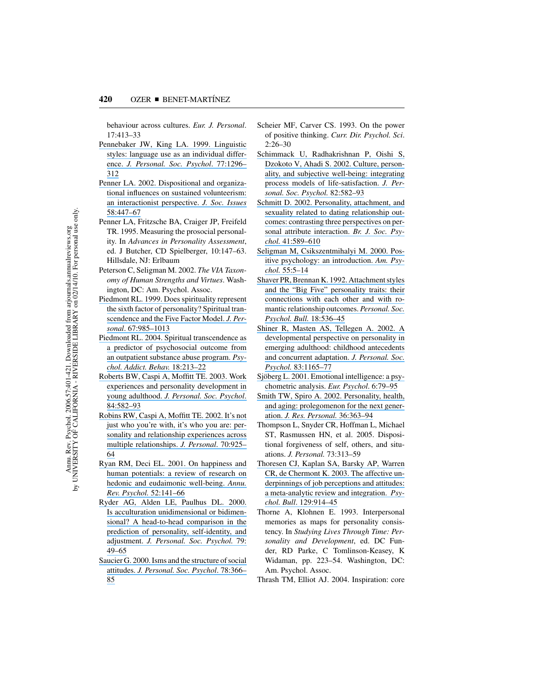behaviour across cultures. *Eur. J. Personal*. 17:413–33

- Pennebaker JW, King LA. 1999. Linguistic styles: language use as an individual difference. *J. Personal. Soc. Psychol*. 77:1296– 312
- Penner LA. 2002. Dispositional and organizational influences on sustained volunteerism: an interactionist perspective. *J. Soc. Issues* 58:447–67
- Penner LA, Fritzsche BA, Craiger JP, Freifeld TR. 1995. Measuring the prosocial personality. In *Advances in Personality Assessment*, ed. J Butcher, CD Spielberger, 10:147–63. Hillsdale, NJ: Erlbaum
- Peterson C, Seligman M. 2002. *The VIA Taxonomy of Human Strengths and Virtues*. Washington, DC: Am. Psychol. Assoc.
- Piedmont RL. 1999. Does spirituality represent the sixth factor of personality? Spiritual transcendence and the Five Factor Model. *J. Personal*. 67:985–1013
- Piedmont RL. 2004. Spiritual transcendence as a predictor of psychosocial outcome from an outpatient substance abuse program. *Psychol. Addict. Behav.* 18:213–22
- Roberts BW, Caspi A, Moffitt TE. 2003. Work experiences and personality development in young adulthood. *J. Personal. Soc. Psychol*. 84:582–93
- Robins RW, Caspi A, Moffitt TE. 2002. It's not just who you're with, it's who you are: personality and relationship experiences across multiple relationships. *J. Personal*. 70:925– 64
- Ryan RM, Deci EL. 2001. On happiness and human potentials: a review of research on hedonic and eudaimonic well-being. *Annu. Rev. Psychol.* 52:141–66
- Ryder AG, Alden LE, Paulhus DL. 2000. Is acculturation unidimensional or bidimensional? A head-to-head comparison in the prediction of personality, self-identity, and adjustment. *J. Personal. Soc. Psychol.* 79: 49–65
- Saucier G. 2000. Isms and the structure of social attitudes. *J. Personal. Soc. Psychol*. 78:366– 85
- Scheier MF, Carver CS. 1993. On the power of positive thinking. *Curr. Dir. Psychol. Sci*.  $2:26 - 30$
- Schimmack U, Radhakrishnan P, Oishi S, Dzokoto V, Ahadi S. 2002. Culture, personality, and subjective well-being: integrating process models of life-satisfaction. *J. Personal. Soc. Psychol.* 82:582–93
- Schmitt D. 2002. Personality, attachment, and sexuality related to dating relationship outcomes: contrasting three perspectives on personal attribute interaction. *Br. J. Soc. Psychol.* 41:589–610
- Seligman M, Csikszentmihalyi M. 2000. Positive psychology: an introduction. *Am. Psychol.* 55:5–14
- Shaver PR, Brennan K. 1992. Attachment styles and the "Big Five" personality traits: their connections with each other and with romantic relationship outcomes. *Personal. Soc. Psychol. Bull.* 18:536–45
- Shiner R, Masten AS, Tellegen A. 2002. A developmental perspective on personality in emerging adulthood: childhood antecedents and concurrent adaptation. *J. Personal. Soc. Psychol.* 83:1165–77
- Sjöberg L. 2001. Emotional intelligence: a psychometric analysis. *Eur. Psychol*. 6:79–95
- Smith TW, Spiro A. 2002. Personality, health, and aging: prolegomenon for the next generation. *J. Res. Personal.* 36:363–94
- Thompson L, Snyder CR, Hoffman L, Michael ST, Rasmussen HN, et al. 2005. Dispositional forgiveness of self, others, and situations. *J. Personal.* 73:313–59
- Thoresen CJ, Kaplan SA, Barsky AP, Warren CR, de Chermont K. 2003. The affective underpinnings of job perceptions and attitudes: a meta-analytic review and integration. *Psychol. Bull*. 129:914–45
- Thorne A, Klohnen E. 1993. Interpersonal memories as maps for personality consistency. In *Studying Lives Through Time: Personality and Development*, ed. DC Funder, RD Parke, C Tomlinson-Keasey, K Widaman, pp. 223–54. Washington, DC: Am. Psychol. Assoc.
- Thrash TM, Elliot AJ. 2004. Inspiration: core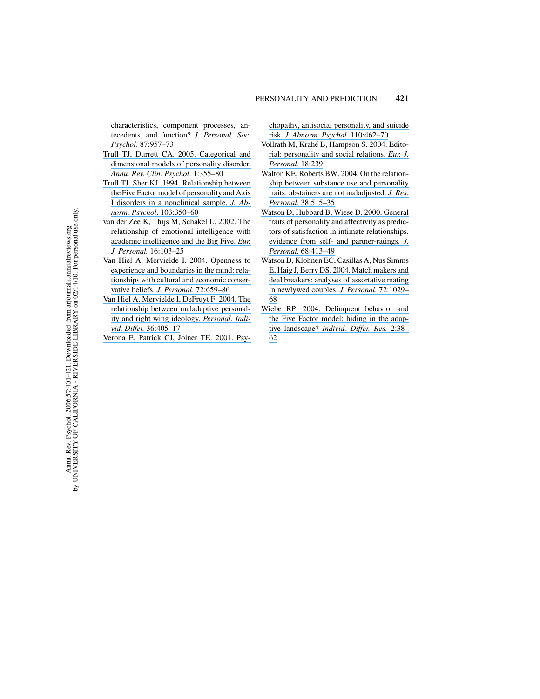characteristics, component processes, antecedents, and function? *J. Personal. Soc. Psychol*. 87:957–73

- Trull TJ, Durrett CA. 2005. Categorical and dimensional models of personality disorder. *Annu. Rev. Clin. Psychol*. 1:355–80
- Trull TJ, Sher KJ. 1994. Relationship between the Five Factor model of personality and Axis I disorders in a nonclinical sample. *J. Abnorm. Psychol*. 103:350–60
- van der Zee K, Thijs M, Schakel L. 2002. The relationship of emotional intelligence with academic intelligence and the Big Five. *Eur. J. Personal.* 16:103–25
- Van Hiel A, Mervielde I. 2004. Openness to experience and boundaries in the mind: relationships with cultural and economic conservative beliefs. *J. Personal*. 72:659–86
- Van Hiel A, Mervielde I, DeFruyt F. 2004. The relationship between maladaptive personality and right wing ideology. *Personal. Individ. Differ.* 36:405–17

Verona E, Patrick CJ, Joiner TE. 2001. Psy-

chopathy, antisocial personality, and suicide risk. *J. Abnorm. Psychol.* 110:462–70

- Vollrath M, Krahé B, Hampson S. 2004. Editorial: personality and social relations. *Eur. J. Personal*. 18:239
- Walton KE, Roberts BW. 2004. On the relationship between substance use and personality traits: abstainers are not maladjusted. *J. Res. Personal*. 38:515–35
- Watson D, Hubbard B, Wiese D. 2000. General traits of personality and affectivity as predictors of satisfaction in intimate relationships. evidence from self- and partner-ratings. *J. Personal.* 68:413–49
- Watson D, Klohnen EC, Casillas A, Nus Simms E, Haig J, Berry DS. 2004. Match makers and deal breakers: analyses of assortative mating in newlywed couples. *J. Personal*. 72:1029– 68
- Wiebe RP. 2004. Delinquent behavior and the Five Factor model: hiding in the adaptive landscape? *Individ. Differ. Res.* 2:38– 62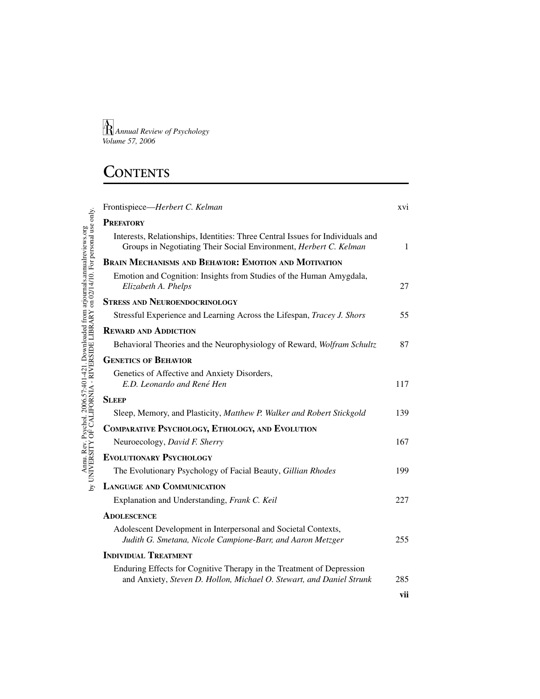# **CONTENTS**

| Frontispiece-Herbert C. Kelman                                                                                                                      | XV <sub>1</sub> |
|-----------------------------------------------------------------------------------------------------------------------------------------------------|-----------------|
| <b>PREFATORY</b>                                                                                                                                    |                 |
| Interests, Relationships, Identities: Three Central Issues for Individuals and<br>Groups in Negotiating Their Social Environment, Herbert C. Kelman | 1               |
| <b>BRAIN MECHANISMS AND BEHAVIOR: EMOTION AND MOTIVATION</b>                                                                                        |                 |
| Emotion and Cognition: Insights from Studies of the Human Amygdala,<br>Elizabeth A. Phelps                                                          | 27              |
| <b>STRESS AND NEUROENDOCRINOLOGY</b>                                                                                                                |                 |
| Stressful Experience and Learning Across the Lifespan, Tracey J. Shors                                                                              | 55              |
| <b>REWARD AND ADDICTION</b>                                                                                                                         |                 |
| Behavioral Theories and the Neurophysiology of Reward, Wolfram Schultz                                                                              | 87              |
| <b>GENETICS OF BEHAVIOR</b>                                                                                                                         |                 |
| Genetics of Affective and Anxiety Disorders,<br>E.D. Leonardo and René Hen                                                                          | 117             |
| <b>SLEEP</b>                                                                                                                                        |                 |
| Sleep, Memory, and Plasticity, Matthew P. Walker and Robert Stickgold                                                                               | 139             |
| COMPARATIVE PSYCHOLOGY, ETHOLOGY, AND EVOLUTION                                                                                                     |                 |
| Neuroecology, David F. Sherry                                                                                                                       | 167             |
| <b>EVOLUTIONARY PSYCHOLOGY</b>                                                                                                                      |                 |
| The Evolutionary Psychology of Facial Beauty, Gillian Rhodes                                                                                        | 199             |
| <b>LANGUAGE AND COMMUNICATION</b>                                                                                                                   |                 |
| Explanation and Understanding, Frank C. Keil                                                                                                        | 227             |
| <b>ADOLESCENCE</b>                                                                                                                                  |                 |
| Adolescent Development in Interpersonal and Societal Contexts,<br>Judith G. Smetana, Nicole Campione-Barr, and Aaron Metzger                        | 255             |
| <b>INDIVIDUAL TREATMENT</b>                                                                                                                         |                 |
| Enduring Effects for Cognitive Therapy in the Treatment of Depression                                                                               |                 |
| and Anxiety, Steven D. Hollon, Michael O. Stewart, and Daniel Strunk                                                                                | 285             |
|                                                                                                                                                     | vii             |